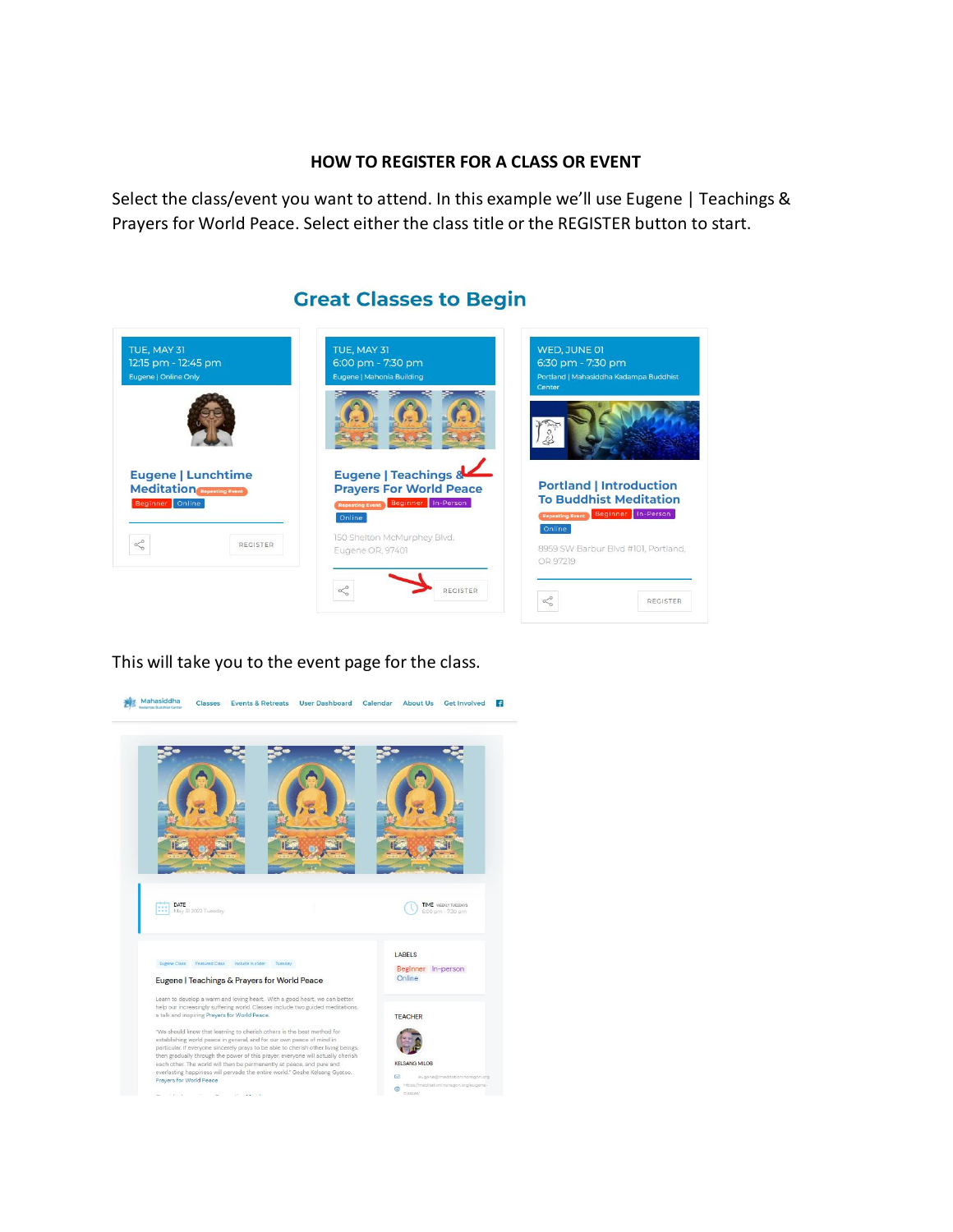## **HOW TO REGISTER FOR A CLASS OR EVENT**

Select the class/event you want to attend. In this example we'll use Eugene | Teachings & Prayers for World Peace. Select either the class title or the REGISTER button to start.

## TUE, MAY 31 TUE, MAY 31 WED, JUNE 01 6:00 pm - 7:30 pm 12:15 pm - 12:45 pm 6:30 pm - 7:30 pm .<br>Eugene | Mahonia Building  $\left( . \right)$ Eugene | Teachings & **Eugene | Lunchtime Portland | Introduction Prayers For World Peace Meditation To Buddhist Meditation** ing Event Beginner In-Person er Onli Repeating Event Beginner In-Person Online 150 Shelton McMurphey Blvd.  $\delta^{\rm o}_{\rm o}$ REGISTER 8959 SW Barbur Blvd #101, Portland, Eugene OR, 97401 OR 97219  $\delta^{\circ}_{o}$ REGISTER  $\ll^{\circ}_o$ REGISTER

## This will take you to the event page for the class.



## **Great Classes to Begin**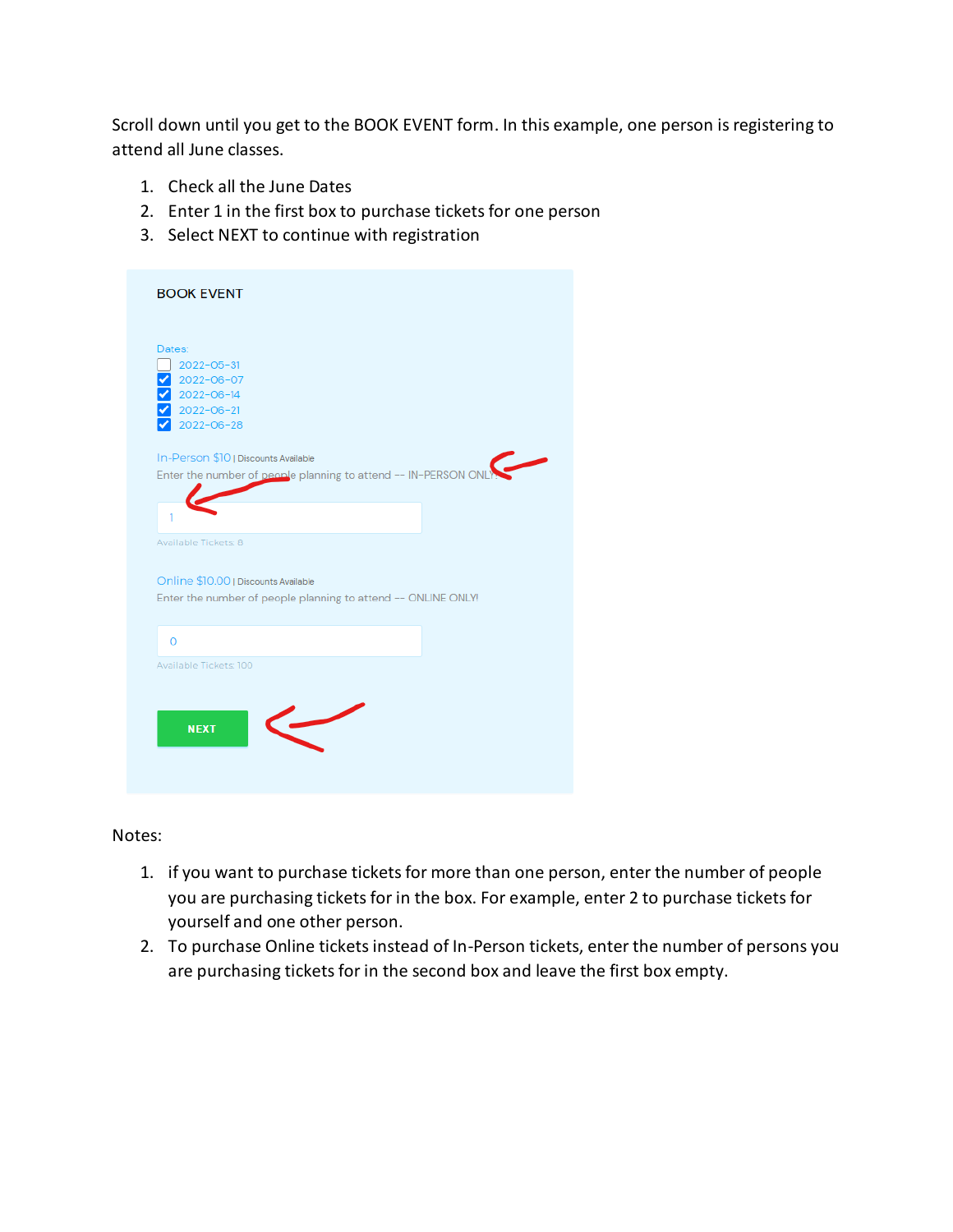Scroll down until you get to the BOOK EVENT form. In this example, one person is registering to attend all June classes.

- 1. Check all the June Dates
- 2. Enter 1 in the first box to purchase tickets for one person
- 3. Select NEXT to continue with registration

| Dates:<br>$2022 - 05 - 31$<br>2022-06-07<br>2022-06-14<br>2022-06-21<br>2022-06-28<br>In-Person \$10   Discounts Available<br>Enter the number of people planning to attend -- IN-PERSON ON<br>1<br>Available Tickets: 8<br>Online \$10.00   Discounts Available<br>Enter the number of people planning to attend -- ONLINE ONLY!<br>$\Omega$<br>Available Tickets: 100 | <b>BOOK EVENT</b> |  |
|-------------------------------------------------------------------------------------------------------------------------------------------------------------------------------------------------------------------------------------------------------------------------------------------------------------------------------------------------------------------------|-------------------|--|
|                                                                                                                                                                                                                                                                                                                                                                         |                   |  |
|                                                                                                                                                                                                                                                                                                                                                                         |                   |  |
|                                                                                                                                                                                                                                                                                                                                                                         |                   |  |
|                                                                                                                                                                                                                                                                                                                                                                         |                   |  |
|                                                                                                                                                                                                                                                                                                                                                                         |                   |  |

Notes:

- 1. if you want to purchase tickets for more than one person, enter the number of people you are purchasing tickets for in the box. For example, enter 2 to purchase tickets for yourself and one other person.
- 2. To purchase Online tickets instead of In-Person tickets, enter the number of persons you are purchasing tickets for in the second box and leave the first box empty.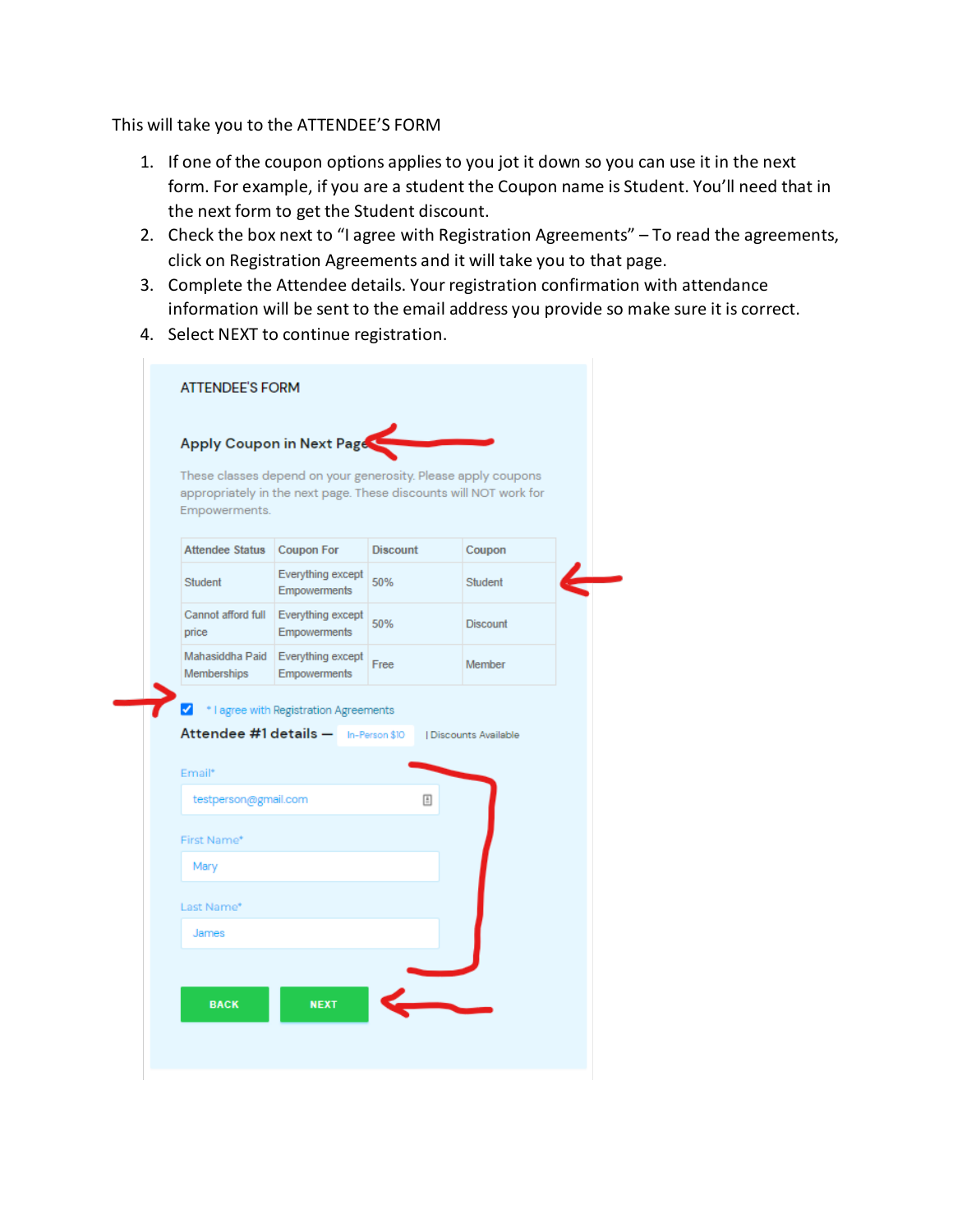This will take you to the ATTENDEE'S FORM

- 1. If one of the coupon options applies to you jot it down so you can use it in the next form. For example, if you are a student the Coupon name is Student. You'll need that in the next form to get the Student discount.
- 2. Check the box next to "I agree with Registration Agreements" To read the agreements, click on Registration Agreements and it will take you to that page.
- 3. Complete the Attendee details. Your registration confirmation with attendance information will be sent to the email address you provide so make sure it is correct.
- 4. Select NEXT to continue registration.

| Empowerments.                         | These classes depend on your generosity. Please apply coupons<br>appropriately in the next page. These discounts will NOT work for |                 |                       |
|---------------------------------------|------------------------------------------------------------------------------------------------------------------------------------|-----------------|-----------------------|
| <b>Attendee Status</b>                | <b>Coupon For</b>                                                                                                                  | <b>Discount</b> | Coupon                |
| <b>Student</b>                        | Everything except<br>Empowerments                                                                                                  | 50%             | Student               |
| Cannot afford full<br>price           | Everything except<br>Empowerments                                                                                                  | 50%             | <b>Discount</b>       |
| Mahasiddha Paid<br><b>Memberships</b> | Everything except<br><b>Empowerments</b>                                                                                           | Free            | Member                |
|                                       | * I agree with Registration Agreements<br>Attendee #1 details - In-Person \$10                                                     |                 | I Discounts Available |
|                                       |                                                                                                                                    |                 |                       |
| testperson@gmail.com                  |                                                                                                                                    | 固               |                       |
|                                       |                                                                                                                                    |                 |                       |
| Mary                                  |                                                                                                                                    |                 |                       |
| Email*<br>First Name*<br>Last Name*   |                                                                                                                                    |                 |                       |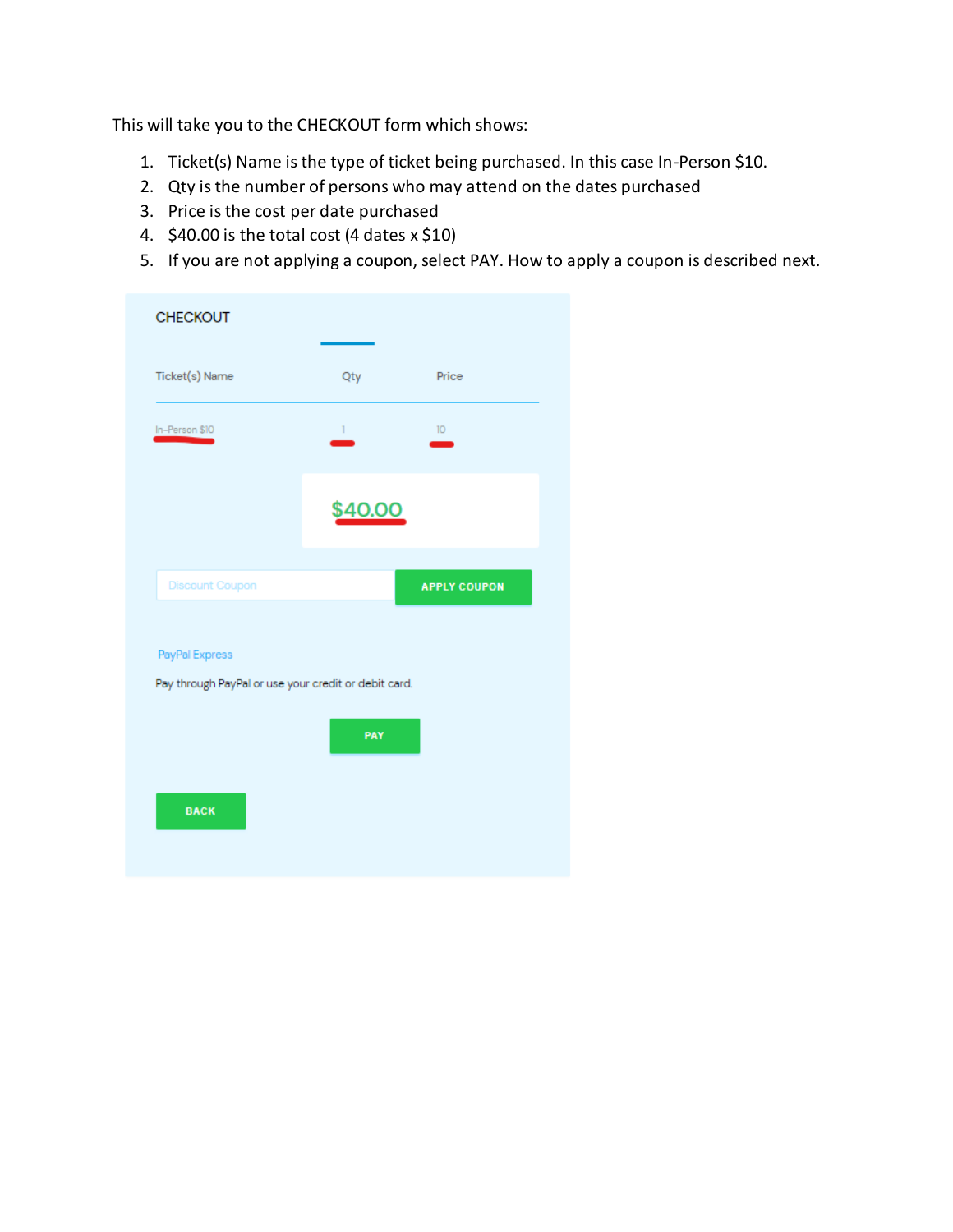This will take you to the CHECKOUT form which shows:

- 1. Ticket(s) Name is the type of ticket being purchased. In this case In-Person \$10.
- 2. Qty is the number of persons who may attend on the dates purchased
- 3. Price is the cost per date purchased
- 4.  $$40.00$  is the total cost (4 dates  $x $10$ )
- 5. If you are not applying a coupon, select PAY. How to apply a coupon is described next.

| Qty                                                                    | Price               |  |  |  |  |  |
|------------------------------------------------------------------------|---------------------|--|--|--|--|--|
| Τ.                                                                     | $10-10$             |  |  |  |  |  |
| \$40.00                                                                |                     |  |  |  |  |  |
|                                                                        | <b>APPLY COUPON</b> |  |  |  |  |  |
| PayPal Express<br>Pay through PayPal or use your credit or debit card. |                     |  |  |  |  |  |
| PAY                                                                    |                     |  |  |  |  |  |
|                                                                        |                     |  |  |  |  |  |
|                                                                        |                     |  |  |  |  |  |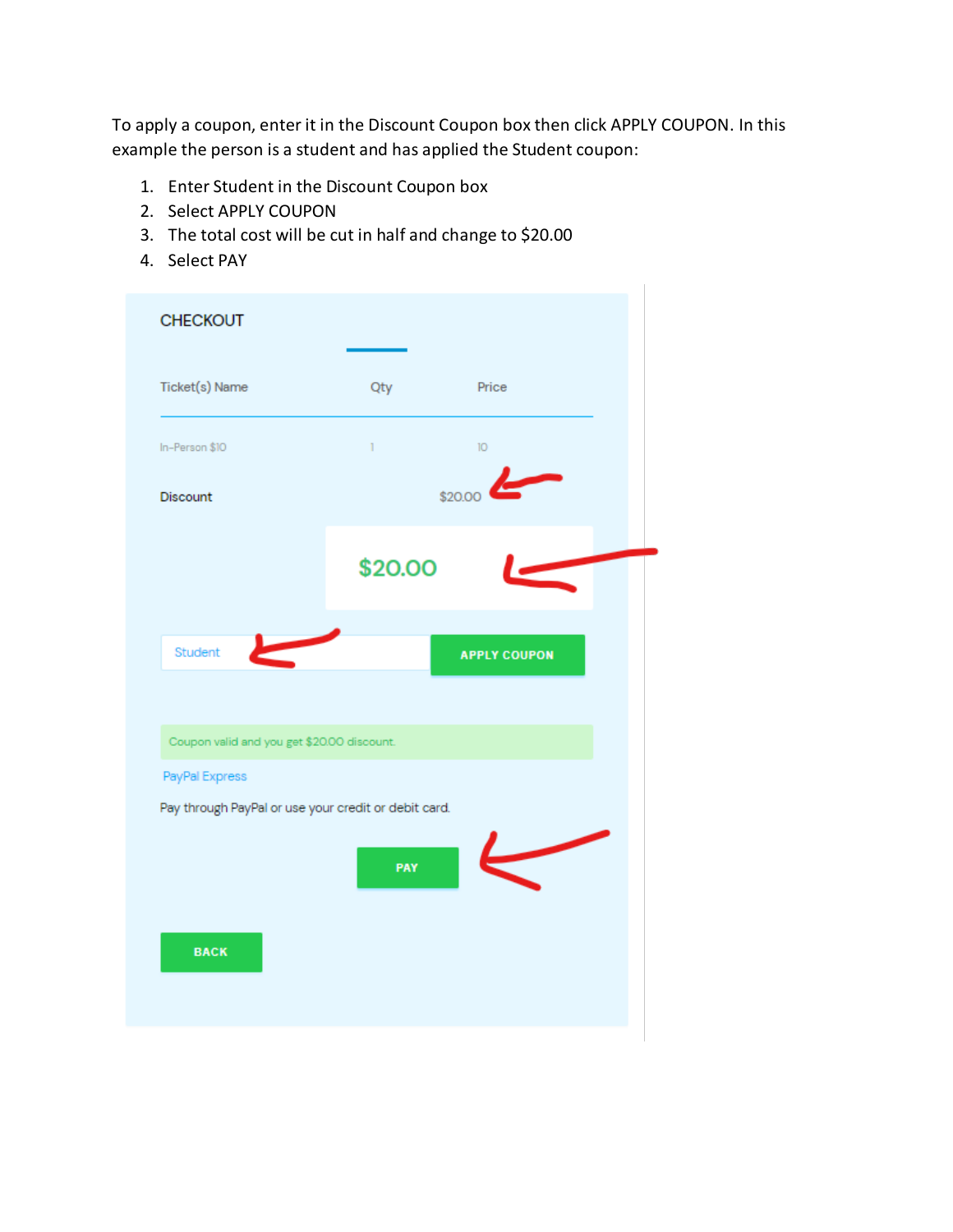To apply a coupon, enter it in the Discount Coupon box then click APPLY COUPON. In this example the person is a student and has applied the Student coupon:

- 1. Enter Student in the Discount Coupon box
- 2. Select APPLY COUPON
- 3. The total cost will be cut in half and change to \$20.00
- 4. Select PAY

| <b>CHECKOUT</b>                                      |         |                     |
|------------------------------------------------------|---------|---------------------|
| Ticket(s) Name                                       | Qty     | Price               |
| In-Person \$10                                       | Ĩ.      | 10 <sup>10</sup>    |
| Discount                                             |         | \$20.00             |
|                                                      | \$20.00 |                     |
| Student                                              |         | <b>APPLY COUPON</b> |
| Coupon valid and you get \$20.00 discount.           |         |                     |
| PayPal Express                                       |         |                     |
| Pay through PayPal or use your credit or debit card. |         |                     |
|                                                      | PAY     |                     |
| <b>BACK</b>                                          |         |                     |